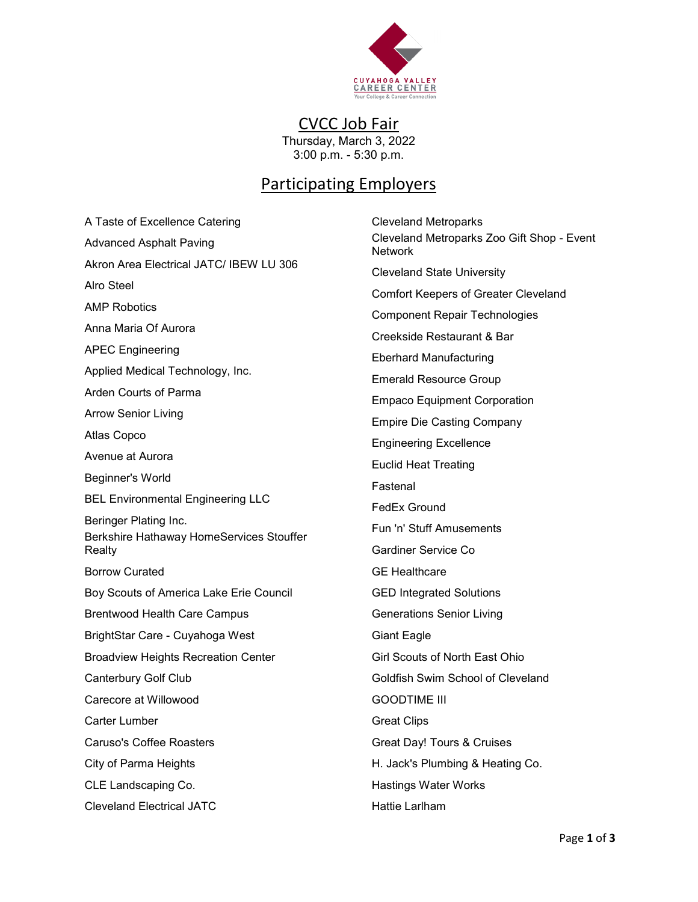

CVCC Job Fair Thursday, March 3, 2022 3:00 p.m. - 5:30 p.m.

## Participating Employers

A Taste of Excellence Catering Advanced Asphalt Paving Akron Area Electrical JATC/ IBEW LU 306 Alro Steel AMP Robotics Anna Maria Of Aurora APEC Engineering Applied Medical Technology, Inc. Arden Courts of Parma Arrow Senior Living Atlas Copco Avenue at Aurora Beginner's World BEL Environmental Engineering LLC Beringer Plating Inc. Berkshire Hathaway HomeServices Stouffer Realty Borrow Curated Boy Scouts of America Lake Erie Council Brentwood Health Care Campus BrightStar Care - Cuyahoga West Broadview Heights Recreation Center Canterbury Golf Club Carecore at Willowood Carter Lumber Caruso's Coffee Roasters City of Parma Heights CLE Landscaping Co. Cleveland Electrical JATC

Cleveland Metroparks Cleveland Metroparks Zoo Gift Shop - Event Network Cleveland State University Comfort Keepers of Greater Cleveland Component Repair Technologies Creekside Restaurant & Bar Eberhard Manufacturing Emerald Resource Group Empaco Equipment Corporation Empire Die Casting Company Engineering Excellence Euclid Heat Treating Fastenal FedEx Ground Fun 'n' Stuff Amusements Gardiner Service Co GE Healthcare GED Integrated Solutions Generations Senior Living Giant Eagle Girl Scouts of North East Ohio Goldfish Swim School of Cleveland GOODTIME III Great Clips Great Day! Tours & Cruises H. Jack's Plumbing & Heating Co. Hastings Water Works Hattie Larlham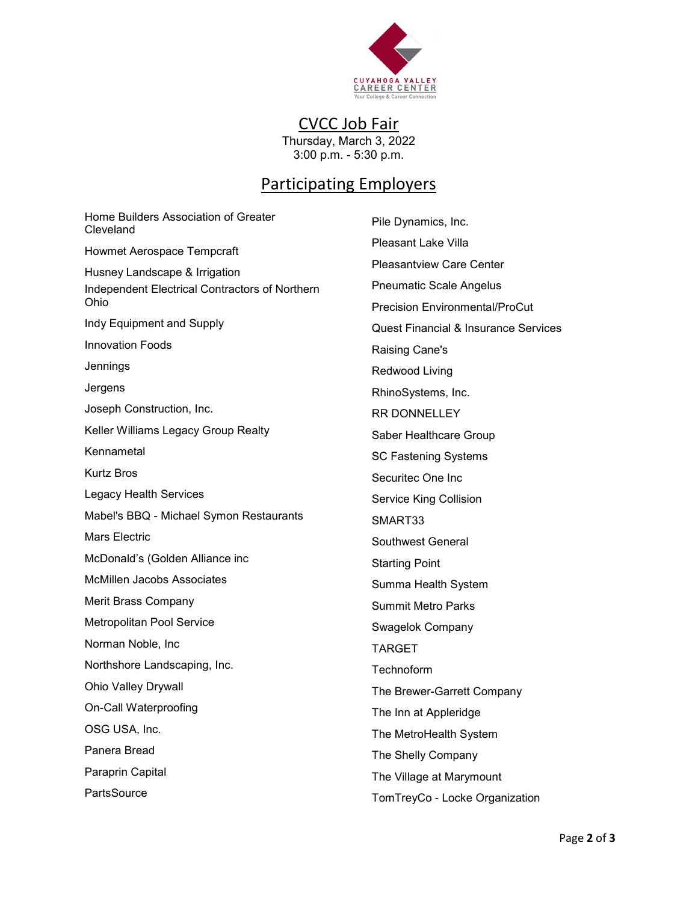

CVCC Job Fair Thursday, March 3, 2022

3:00 p.m. - 5:30 p.m.

## Participating Employers

Home Builders Association of Greater Cleveland Howmet Aerospace Tempcraft Husney Landscape & Irrigation Independent Electrical Contractors of Northern Ohio Indy Equipment and Supply Innovation Foods Jennings Jergens Joseph Construction, Inc. Keller Williams Legacy Group Realty Kennametal Kurtz Bros Legacy Health Services Mabel's BBQ - Michael Symon Restaurants Mars Electric McDonald's (Golden Alliance inc McMillen Jacobs Associates Merit Brass Company Metropolitan Pool Service Norman Noble, Inc Northshore Landscaping, Inc. Ohio Valley Drywall On-Call Waterproofing OSG USA, Inc. Panera Bread Paraprin Capital **PartsSource** 

Pile Dynamics, Inc. Pleasant Lake Villa Pleasantview Care Center Pneumatic Scale Angelus Precision Environmental/ProCut Quest Financial & Insurance Services Raising Cane's Redwood Living RhinoSystems, Inc. RR DONNELLEY Saber Healthcare Group SC Fastening Systems Securitec One Inc Service King Collision SMART33 Southwest General Starting Point Summa Health System Summit Metro Parks Swagelok Company TARGET **Technoform** The Brewer-Garrett Company The Inn at Appleridge The MetroHealth System The Shelly Company The Village at Marymount TomTreyCo - Locke Organization